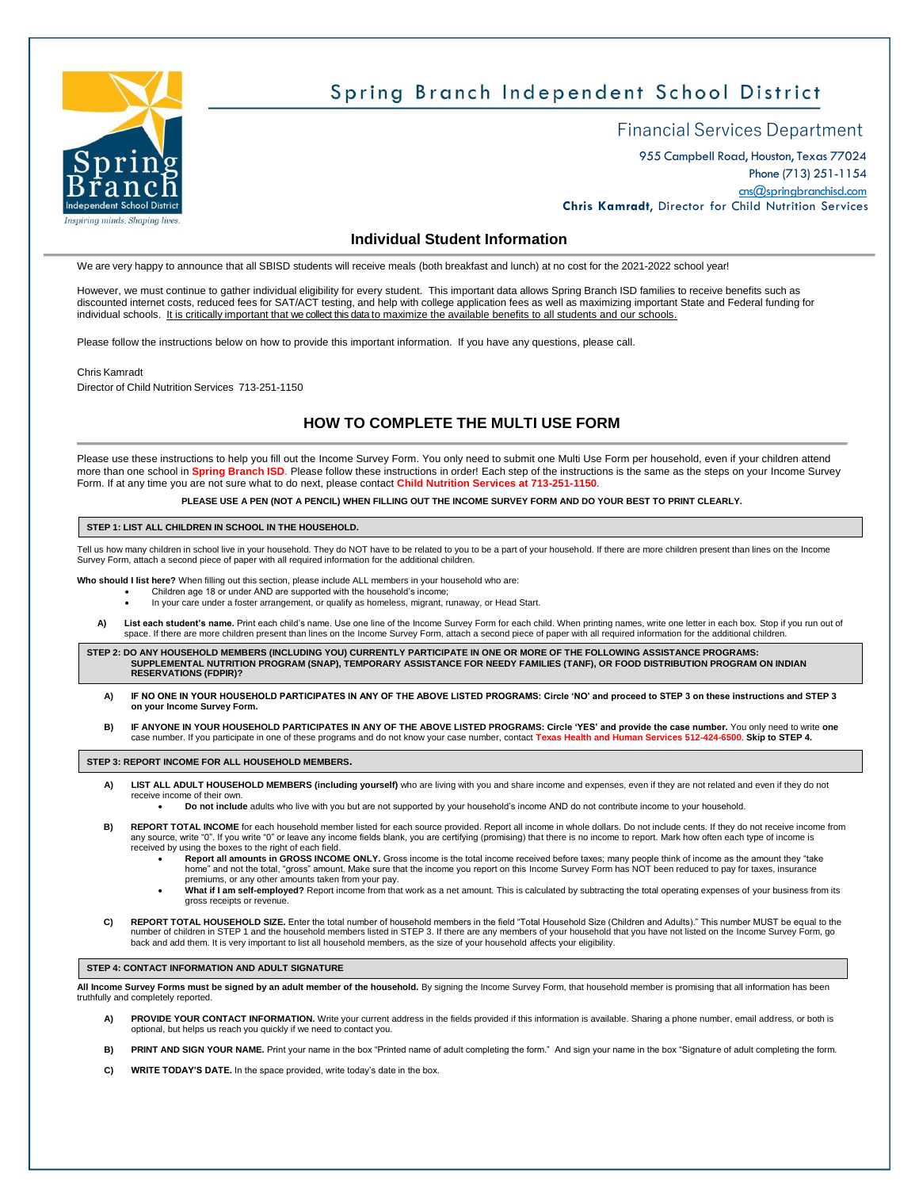

# Spring Branch Independent School District

# Financial Services Department

955 Campbell Road, Houston, Texas 77024 Phone (713) 251-1154 [cns@springbranchisd.com](mailto:cns@springbranchisd.com) **Chris Kamradt**, Director for Child Nutrition Services

### **Individual Student Information**

We are very happy to announce that all SBISD students will receive meals (both breakfast and lunch) at no cost for the 2021-2022 school year!

However, we must continue to gather individual eligibility for every student. This important data allows Spring Branch ISD families to receive benefits such as discounted internet costs, reduced fees for SAT/ACT testing, and help with college application fees as well as maximizing important State and Federal funding for individual schools. It is critically important that we collect this data to maximize the available benefits to all students and our schools.

Please follow the instructions below on how to provide this important information. If you have any questions, please call.

Chris Kamradt

Director of Child Nutrition Services 713‐251-1150

### **HOW TO COMPLETE THE MULTI USE FORM**

Please use these instructions to help you fill out the Income Survey Form. You only need to submit one Multi Use Form per household, even if your children attend more than one school in Spring Branch ISD. Please follow these instructions in order! Each step of the instructions is the same as the steps on your Income Survey Form. If at any time you are not sure what to do next, please contact **Child Nutrition Services at 713-251-1150**.

**PLEASE USE A PEN (NOT A PENCIL) WHEN FILLING OUT THE INCOME SURVEY FORM AND DO YOUR BEST TO PRINT CLEARLY.**

#### **STEP 1: LIST ALL CHILDREN IN SCHOOL IN THE HOUSEHOLD.**

Tell us how many children in school live in your household. They do NOT have to be related to you to be a part of your household. If there are more children present than lines on the Income Survey Form, attach a second piece of paper with all required information for the additional children.

Who should I list here? When filling out this section, please include ALL members in your household who are:<br>Children age 18 or under AND are supported with the household's income;

- 
- In your care under a foster arrangement, or qualify as homeless, migrant, runaway, or Head Start.
- **A) List each student's name.** Print each child's name. Use one line of the Income Survey Form for each child. When printing names, write one letter in each box. Stop if you run out of space. If there are more children present than lines on the Income Survey Form, attach a second piece of paper with all required information for the additional children.

STEP 2: DO ANY HOUSEHOLD MEMBERS (INCLUDING YOU) CURRENTLY PARTICIPATE IN ONE OR MORE OF THE FOLLOWING ASSISTANCE PROGRAMS:<br>SUPPLEMENTAL NUTRITION PROGRAM (SNAP), TEMPORARY ASSISTANCE FOR NEEDY FAMILIES (TANF), OR FOOD DIS **RESERVATIONS (FDPIR)?**

- **A) IF NO ONE IN YOUR HOUSEHOLD PARTICIPATES IN ANY OF THE ABOVE LISTED PROGRAMS: Circle 'NO' and proceed to STEP 3 on these instructions and STEP 3 on your Income Survey Form.**
- **B) IF ANYONE IN YOUR HOUSEHOLD PARTICIPATES IN ANY OF THE ABOVE LISTED PROGRAMS: Circle 'YES' and provide the case number.** You only need to write **one** case number. If you participate in one of these programs and do not know your case number, contact **Texas Health and Human Services 512-424-6500**. **Skip to STEP 4.**

**STEP 3: REPORT INCOME FOR ALL HOUSEHOLD MEMBERS.**

**A) LIST ALL ADULT HOUSEHOLD MEMBERS (including yourself)** who are living with you and share income and expenses, even if they are not related and even if they do not receive income of their own.

• **Do not include** adults who live with you but are not supported by your household's income AND do not contribute income to your household.

- **B) REPORT TOTAL INCOME** for each household member listed for each source provided. Report all income in whole dollars. Do not include cents. If they do not receive income from any source, write "0". If you write "0" or leave any income fields blank, you are certifying (promising) that there is no income to report. Mark how often each type of income is received by using the boxes to the right of each field.
	- Report all amounts in GROSS INCOME ONLY. Gross income is the total income received before taxes; many people think of income as the amount they "take<br>home" and not the total, "gross" amount. Make sure that the income you r premiums, or any other amounts taken from your pay.
	- **What if I am self-employed?** Report income from that work as a net amount. This is calculated by subtracting the total operating expenses of your business from its gross receipts or revenue.
- C) REPORT TOTAL HOUSEHOLD SIZE. Enter the total number of household members in the field "Total Household Size (Children and Adults)." This number MUST be equal to the<br>number of children in STEP 1 and the household members back and add them. It is very important to list all household members, as the size of your household affects your eligibility.

#### **STEP 4: CONTACT INFORMATION AND ADULT SIGNATURE**

**All Income Survey Forms must be signed by an adult member of the household.** By signing the Income Survey Form, that household member is promising that all information has been truthfully and com

- **A) PROVIDE YOUR CONTACT INFORMATION.** Write your current address in the fields provided if this information is available. Sharing a phone number, email address, or both is optional, but helps us reach you quickly if we need to contact you.
- **B) PRINT AND SIGN YOUR NAME.** Print your name in the box "Printed name of adult completing the form." And sign your name in the box "Signature of adult completing the form.
- **C) WRITE TODAY'S DATE.** In the space provided, write today's date in the box.